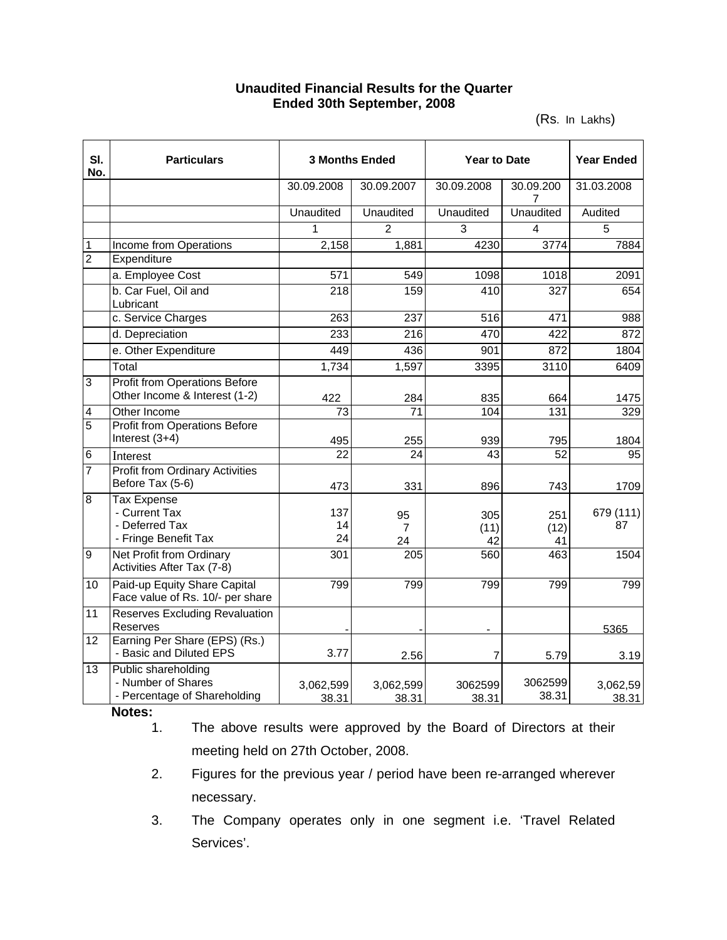## **Unaudited Financial Results for the Quarter Ended 30th September, 2008**

(Rs. In Lakhs)

| SI.<br>No.     | <b>Particulars</b>                                                            | <b>3 Months Ended</b> |                    | <b>Year to Date</b> |                   | <b>Year Ended</b> |
|----------------|-------------------------------------------------------------------------------|-----------------------|--------------------|---------------------|-------------------|-------------------|
|                |                                                                               | 30.09.2008            | 30.09.2007         | 30.09.2008          | 30.09.200<br>7    | 31.03.2008        |
|                |                                                                               | <b>Unaudited</b>      | <b>Unaudited</b>   | <b>Unaudited</b>    | Unaudited         | Audited           |
|                |                                                                               | 1                     | $\overline{2}$     | 3                   | 4                 | 5                 |
| 1              | Income from Operations                                                        | 2,158                 | 1,881              | 4230                | 3774              | 7884              |
| $\overline{2}$ | Expenditure                                                                   |                       |                    |                     |                   |                   |
|                | a. Employee Cost                                                              | 571                   | 549                | 1098                | 1018              | 2091              |
|                | b. Car Fuel, Oil and<br>Lubricant                                             | 218                   | 159                | 410                 | 327               | 654               |
|                | c. Service Charges                                                            | 263                   | 237                | 516                 | 471               | 988               |
|                | d. Depreciation                                                               | 233                   | 216                | 470                 | 422               | 872               |
|                | e. Other Expenditure                                                          | 449                   | 436                | 901                 | 872               | 1804              |
|                | Total                                                                         | 1,734                 | 1,597              | 3395                | 3110              | 6409              |
| 3              | <b>Profit from Operations Before</b><br>Other Income & Interest (1-2)         | 422                   | 284                | 835                 | 664               | 1475              |
| 4              | Other Income                                                                  | 73                    | $\overline{71}$    | 104                 | 131               | 329               |
| $\overline{5}$ | <b>Profit from Operations Before</b><br>Interest $(3+4)$                      | 495                   | 255                | 939                 | 795               | 1804              |
| 6              | Interest                                                                      | 22                    | 24                 | 43                  | $\overline{52}$   | 95                |
| 7              | <b>Profit from Ordinary Activities</b><br>Before Tax (5-6)                    | 473                   | 331                | 896                 | 743               | 1709              |
| 8              | <b>Tax Expense</b><br>- Current Tax<br>- Deferred Tax<br>- Fringe Benefit Tax | 137<br>14<br>24       | 95<br>7<br>24      | 305<br>(11)<br>42   | 251<br>(12)<br>41 | 679 (111)<br>87   |
| 9              | Net Profit from Ordinary<br>Activities After Tax (7-8)                        | 301                   | 205                | 560                 | 463               | 1504              |
| 10             | Paid-up Equity Share Capital<br>Face value of Rs. 10/- per share              | 799                   | 799                | 799                 | 799               | 799               |
| 11             | <b>Reserves Excluding Revaluation</b><br>Reserves                             |                       |                    |                     |                   | 5365              |
| 12             | Earning Per Share (EPS) (Rs.)<br>- Basic and Diluted EPS                      | 3.77                  | 2.56               | $\overline{7}$      | 5.79              | 3.19              |
| 13             | Public shareholding<br>- Number of Shares<br>- Percentage of Shareholding     | 3,062,599<br>38.31    | 3,062,599<br>38.31 | 3062599<br>38.31    | 3062599<br>38.31  | 3,062,59<br>38.31 |

**Notes:**

- 1. The above results were approved by the Board of Directors at their meeting held on 27th October, 2008.
- 2. Figures for the previous year / period have been re-arranged wherever necessary.
- 3. The Company operates only in one segment i.e. 'Travel Related Services'.